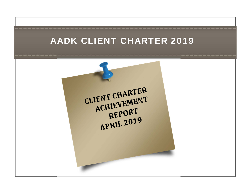# AADK CLIENT CHARTER 2019

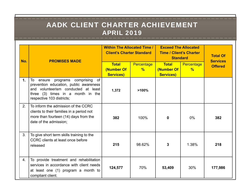| No. | <b>PROMISES MADE</b>                                                                                                                                                                         | <b>Within The Allocated Time /</b><br><b>Client's Charter Standard</b> |                                    | <b>Exceed The Allocated</b><br><b>Time / Client's Charter</b><br><b>Standard</b> |                             | <b>Total Of</b><br><b>Services</b> |
|-----|----------------------------------------------------------------------------------------------------------------------------------------------------------------------------------------------|------------------------------------------------------------------------|------------------------------------|----------------------------------------------------------------------------------|-----------------------------|------------------------------------|
|     |                                                                                                                                                                                              | <b>Total</b><br>(Number Of<br><b>Services)</b>                         | <b>Percentage</b><br>$\frac{9}{6}$ | <b>Total</b><br>(Number Of<br><b>Services)</b>                                   | Percentage<br>$\frac{9}{6}$ | <b>Offered</b>                     |
| 1.  | programs comprising<br>of<br>To<br>ensure<br>prevention education, public awareness<br>and volunteerism conducted at least<br>three (3) times in a month in the<br>respective 103 districts; | 1,372                                                                  | >100%                              |                                                                                  |                             |                                    |
| 2.  | To inform the admission of the CCRC<br>clients to their families in a period not<br>more than fourteen (14) days from the<br>date of the admission;                                          | 382                                                                    | 100%                               | <sup>0</sup>                                                                     | $0\%$                       | 382                                |
| 3.  | To give short term skills training to the<br>CCRC clients at least once before<br>released                                                                                                   | 215                                                                    | 98.62%                             | 3                                                                                | 1.38%                       | 218                                |
| 4.  | To provide treatment and rehabilitation<br>services in accordance with client needs<br>at least one (1) program a month to<br>compliant client.                                              | 124,577                                                                | 70%                                | 53,409                                                                           | 30%                         | 177,986                            |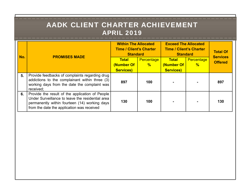| No. | <b>PROMISES MADE</b>                                                                                                                                                                               | <b>Within The Allocated</b><br><b>Time / Client's Charter</b><br><b>Standard</b> |                   | <b>Exceed The Allocated</b><br><b>Time / Client's Charter</b><br><b>Standard</b> |               | <b>Total Of</b><br><b>Services</b> |
|-----|----------------------------------------------------------------------------------------------------------------------------------------------------------------------------------------------------|----------------------------------------------------------------------------------|-------------------|----------------------------------------------------------------------------------|---------------|------------------------------------|
|     |                                                                                                                                                                                                    | Total                                                                            | <b>Percentage</b> | <b>Total</b>                                                                     | Percentage    | <b>Offered</b>                     |
|     |                                                                                                                                                                                                    | (Number Of<br><b>Services)</b>                                                   | $\frac{9}{6}$     | (Number Of<br><b>Services)</b>                                                   | $\frac{0}{6}$ |                                    |
| 5.  | Provide feedbacks of complaints regarding drug<br>addictions to the complainant within three (3)<br>working days from the date the complaint was<br>received;                                      | 897                                                                              | 100               |                                                                                  |               | 897                                |
| 6.  | Provide the result of the application of People<br>Under Surveillance to leave the residential area<br>permanently within fourteen (14) working days<br>from the date the application was received | 130                                                                              | 100               |                                                                                  |               | 130                                |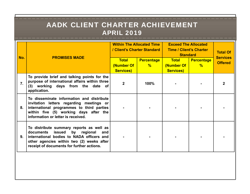| No.              | <b>PROMISES MADE</b>                                                                                                                                                                                                      | <b>Within The Allocated Time</b><br>/ Client's Charter Standard |                                    | <b>Exceed The Allocated</b><br><b>Time / Client's Charter</b><br><b>Standard</b> |                                    | <b>Total Of</b>                   |
|------------------|---------------------------------------------------------------------------------------------------------------------------------------------------------------------------------------------------------------------------|-----------------------------------------------------------------|------------------------------------|----------------------------------------------------------------------------------|------------------------------------|-----------------------------------|
|                  |                                                                                                                                                                                                                           | <b>Total</b><br>(Number Of<br><b>Services)</b>                  | <b>Percentage</b><br>$\frac{9}{6}$ | <b>Total</b><br>(Number Of<br><b>Services)</b>                                   | <b>Percentage</b><br>$\frac{9}{6}$ | <b>Services</b><br><b>Offered</b> |
| $\overline{7}$ . | To provide brief and talking points for the<br>purpose of international affairs within three<br>(3) working days from the date of<br>application.                                                                         | $\mathbf 2$                                                     | 100%                               |                                                                                  |                                    |                                   |
| 8.               | To disseminate information and distribute<br>invitation letters regarding meetings or<br>international programmes to third parties<br>within five (5) working days after the<br>information or letter is received.        |                                                                 |                                    |                                                                                  |                                    |                                   |
| 9.               | To distribute summary reports as well as<br>issued<br>by regional and<br>documents<br>international bodies to NADA officers and<br>other agencies within two (2) weeks after<br>receipt of documents for further actions. |                                                                 |                                    |                                                                                  |                                    |                                   |